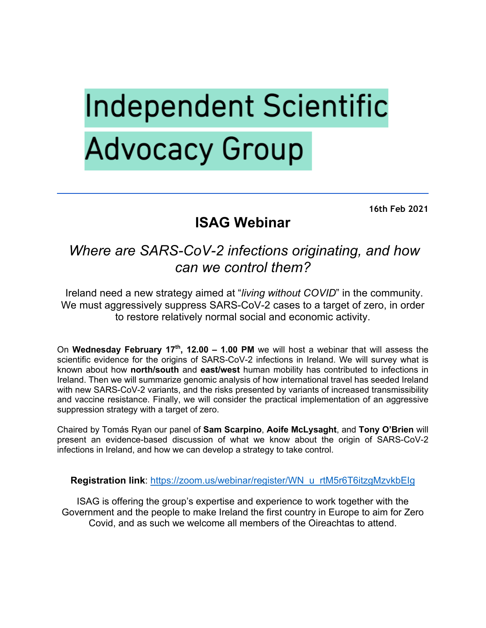# **Independent Scientific Advocacy Group**

**16th Feb 2021**

## **ISAG Webinar**

### *Where are SARS-CoV-2 infections originating, and how can we control them?*

Ireland need a new strategy aimed at "*living without COVID*" in the community. We must aggressively suppress SARS-CoV-2 cases to a target of zero, in order to restore relatively normal social and economic activity.

On **Wednesday February 17th, 12.00 – 1.00 PM** we will host a webinar that will assess the scientific evidence for the origins of SARS-CoV-2 infections in Ireland. We will survey what is known about how **north/south** and **east/west** human mobility has contributed to infections in Ireland. Then we will summarize genomic analysis of how international travel has seeded Ireland with new SARS-CoV-2 variants, and the risks presented by variants of increased transmissibility and vaccine resistance. Finally, we will consider the practical implementation of an aggressive suppression strategy with a target of zero.

Chaired by Tomás Ryan our panel of **Sam Scarpino**, **Aoife McLysaght**, and **Tony O'Brien** will present an evidence-based discussion of what we know about the origin of SARS-CoV-2 infections in Ireland, and how we can develop a strategy to take control.

#### **Registration link**: https://zoom.us/webinar/register/WN\_u\_rtM5r6T6itzgMzvkbEIg

ISAG is offering the group's expertise and experience to work together with the Government and the people to make Ireland the first country in Europe to aim for Zero Covid, and as such we welcome all members of the Oireachtas to attend.